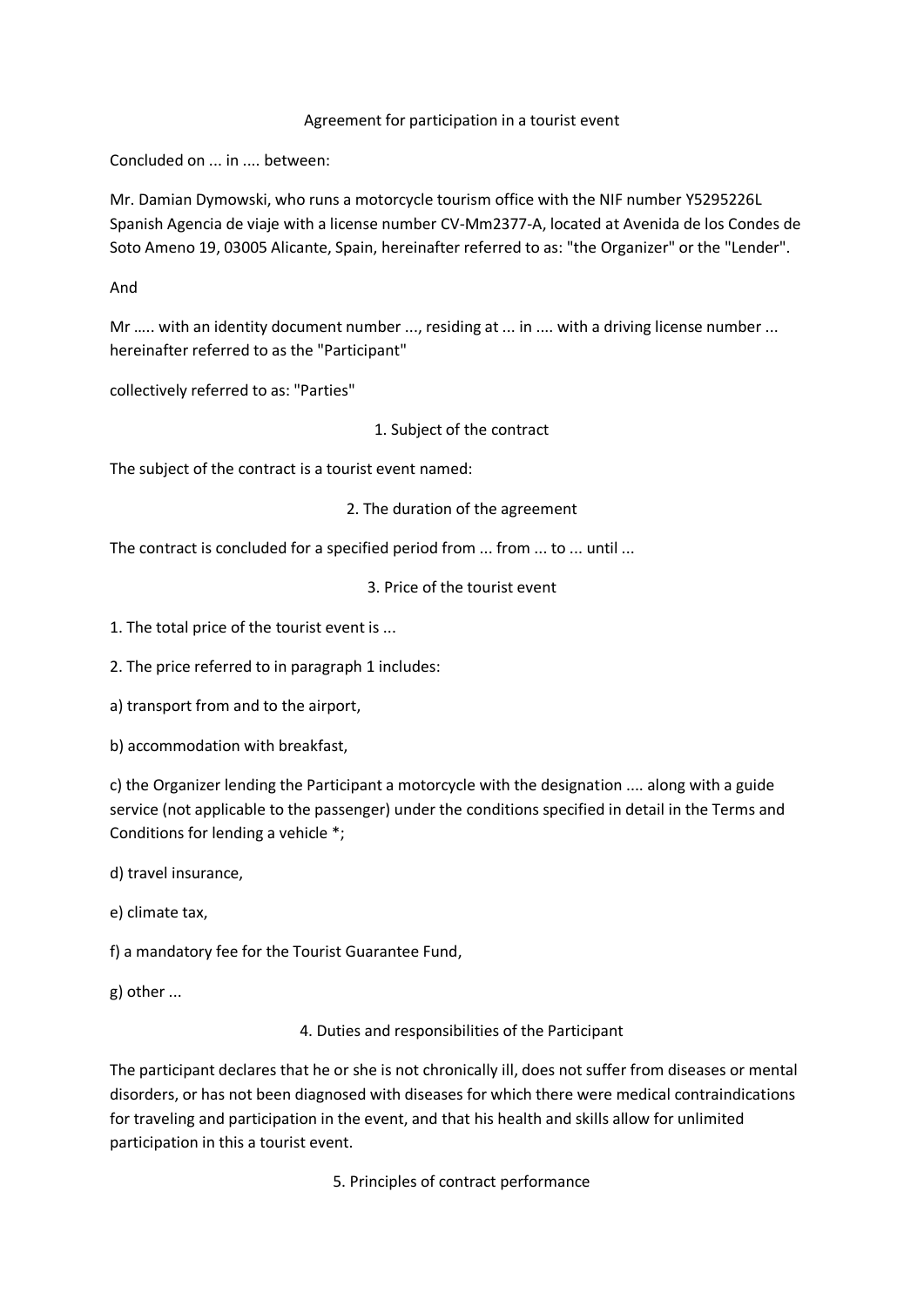## Agreement for participation in a tourist event

Concluded on ... in .... between:

Mr. Damian Dymowski, who runs a motorcycle tourism office with the NIF number Y5295226L Spanish Agencia de viaje with a license number CV-Mm2377-A, located at Avenida de los Condes de Soto Ameno 19, 03005 Alicante, Spain, hereinafter referred to as: "the Organizer" or the "Lender".

And

Mr ….. with an identity document number ..., residing at ... in .... with a driving license number ... hereinafter referred to as the "Participant"

collectively referred to as: "Parties"

1. Subject of the contract

The subject of the contract is a tourist event named:

2. The duration of the agreement

The contract is concluded for a specified period from ... from ... to ... until ...

3. Price of the tourist event

1. The total price of the tourist event is ...

2. The price referred to in paragraph 1 includes:

a) transport from and to the airport,

b) accommodation with breakfast,

c) the Organizer lending the Participant a motorcycle with the designation .... along with a guide service (not applicable to the passenger) under the conditions specified in detail in the Terms and Conditions for lending a vehicle \*;

d) travel insurance,

e) climate tax,

f) a mandatory fee for the Tourist Guarantee Fund,

g) other ...

4. Duties and responsibilities of the Participant

The participant declares that he or she is not chronically ill, does not suffer from diseases or mental disorders, or has not been diagnosed with diseases for which there were medical contraindications for traveling and participation in the event, and that his health and skills allow for unlimited participation in this a tourist event.

5. Principles of contract performance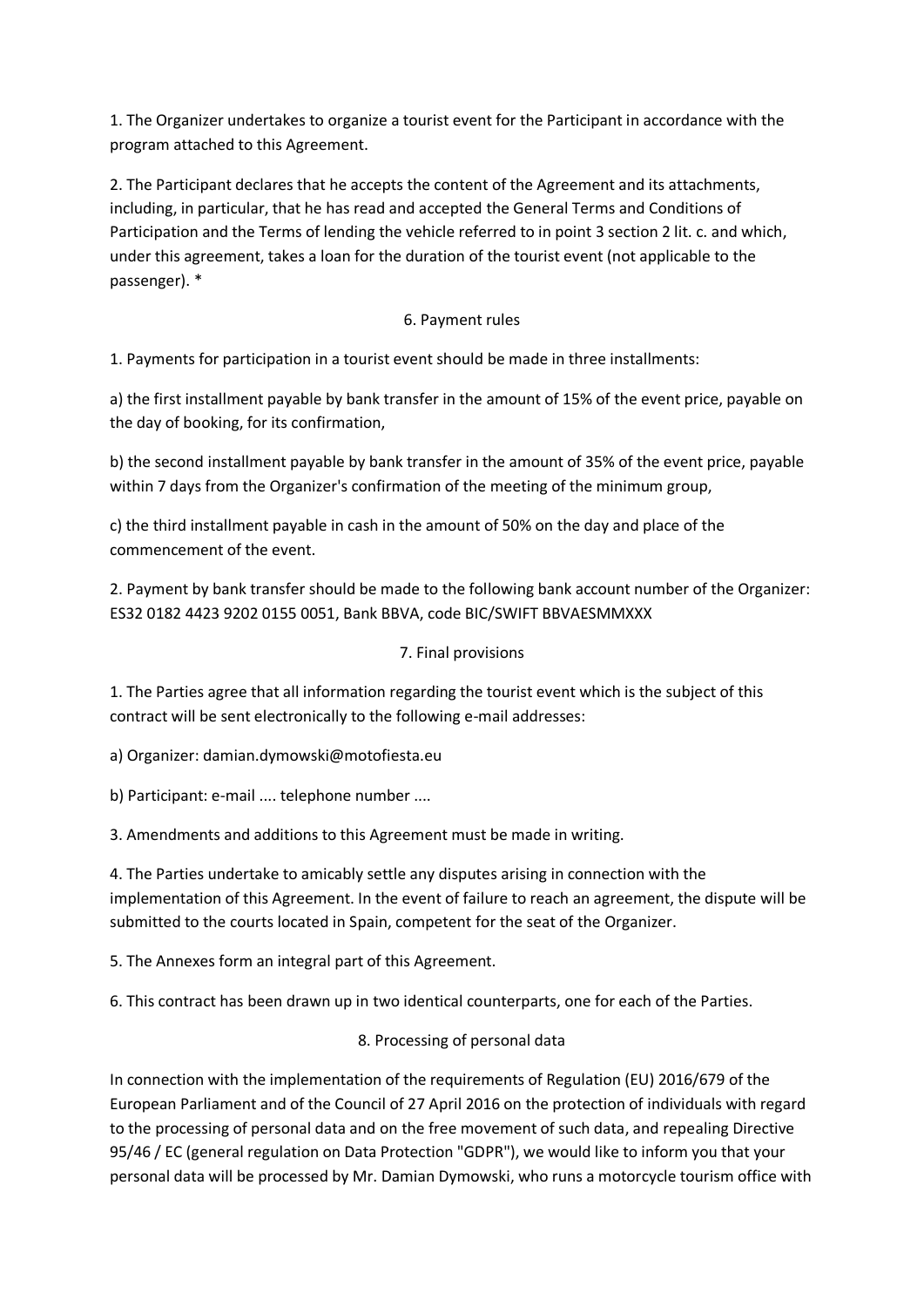1. The Organizer undertakes to organize a tourist event for the Participant in accordance with the program attached to this Agreement.

2. The Participant declares that he accepts the content of the Agreement and its attachments, including, in particular, that he has read and accepted the General Terms and Conditions of Participation and the Terms of lending the vehicle referred to in point 3 section 2 lit. c. and which, under this agreement, takes a loan for the duration of the tourist event (not applicable to the passenger). \*

## 6. Payment rules

1. Payments for participation in a tourist event should be made in three installments:

a) the first installment payable by bank transfer in the amount of 15% of the event price, payable on the day of booking, for its confirmation,

b) the second installment payable by bank transfer in the amount of 35% of the event price, payable within 7 days from the Organizer's confirmation of the meeting of the minimum group,

c) the third installment payable in cash in the amount of 50% on the day and place of the commencement of the event.

2. Payment by bank transfer should be made to the following bank account number of the Organizer: ES32 0182 4423 9202 0155 0051, Bank BBVA, code BIC/SWIFT BBVAESMMXXX

## 7. Final provisions

1. The Parties agree that all information regarding the tourist event which is the subject of this contract will be sent electronically to the following e-mail addresses:

a) Organizer: damian.dymowski@motofiesta.eu

b) Participant: e-mail .... telephone number ....

3. Amendments and additions to this Agreement must be made in writing.

4. The Parties undertake to amicably settle any disputes arising in connection with the implementation of this Agreement. In the event of failure to reach an agreement, the dispute will be submitted to the courts located in Spain, competent for the seat of the Organizer.

5. The Annexes form an integral part of this Agreement.

6. This contract has been drawn up in two identical counterparts, one for each of the Parties.

## 8. Processing of personal data

In connection with the implementation of the requirements of Regulation (EU) 2016/679 of the European Parliament and of the Council of 27 April 2016 on the protection of individuals with regard to the processing of personal data and on the free movement of such data, and repealing Directive 95/46 / EC (general regulation on Data Protection "GDPR"), we would like to inform you that your personal data will be processed by Mr. Damian Dymowski, who runs a motorcycle tourism office with